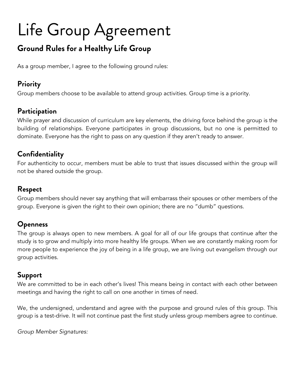# Life Group Agreement

### **Ground Rules for a Healthy Life Group**

As a group member, I agree to the following ground rules:

#### **Priority**

Group members choose to be available to attend group activities. Group time is a priority.

#### **Participation**

While prayer and discussion of curriculum are key elements, the driving force behind the group is the building of relationships. Everyone participates in group discussions, but no one is permitted to dominate. Everyone has the right to pass on any question if they aren't ready to answer.

#### **Confidentiality**

For authenticity to occur, members must be able to trust that issues discussed within the group will not be shared outside the group.

#### **Respect**

Group members should never say anything that will embarrass their spouses or other members of the group. Everyone is given the right to their own opinion; there are no "dumb" questions.

### **Openness**

The group is always open to new members. A goal for all of our life groups that continue after the study is to grow and multiply into more healthy life groups. When we are constantly making room for more people to experience the joy of being in a life group, we are living out evangelism through our group activities.

#### **Support**

We are committed to be in each other's lives! This means being in contact with each other between meetings and having the right to call on one another in times of need.

We, the undersigned, understand and agree with the purpose and ground rules of this group. This group is a test-drive. It will not continue past the first study unless group members agree to continue.

*Group Member Signatures:*